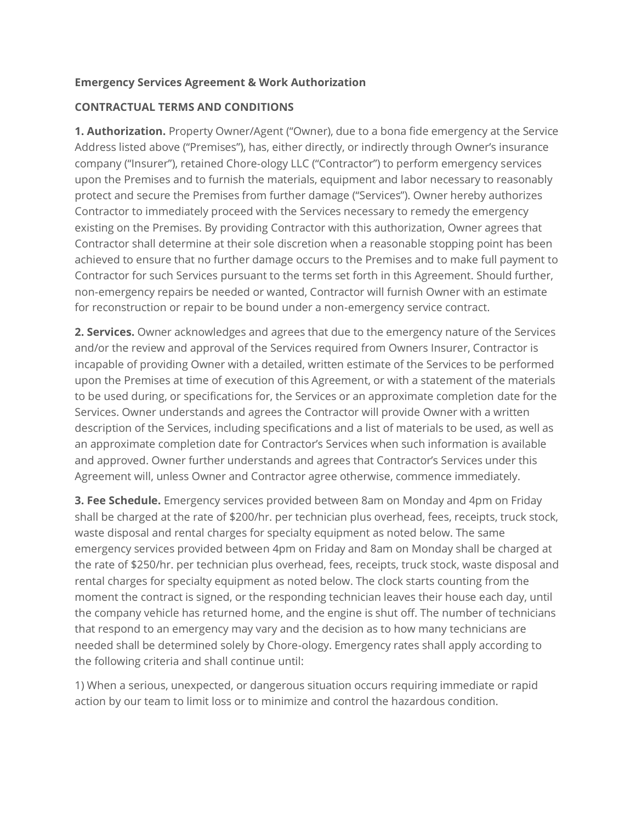#### **Emergency Services Agreement & Work Authorization**

#### **CONTRACTUAL TERMS AND CONDITIONS**

**1. Authorization.** Property Owner/Agent ("Owner), due to a bona fide emergency at the Service Address listed above ("Premises"), has, either directly, or indirectly through Owner's insurance company ("Insurer"), retained Chore-ology LLC ("Contractor") to perform emergency services upon the Premises and to furnish the materials, equipment and labor necessary to reasonably protect and secure the Premises from further damage ("Services"). Owner hereby authorizes Contractor to immediately proceed with the Services necessary to remedy the emergency existing on the Premises. By providing Contractor with this authorization, Owner agrees that Contractor shall determine at their sole discretion when a reasonable stopping point has been achieved to ensure that no further damage occurs to the Premises and to make full payment to Contractor for such Services pursuant to the terms set forth in this Agreement. Should further, non-emergency repairs be needed or wanted, Contractor will furnish Owner with an estimate for reconstruction or repair to be bound under a non-emergency service contract.

**2. Services.** Owner acknowledges and agrees that due to the emergency nature of the Services and/or the review and approval of the Services required from Owners Insurer, Contractor is incapable of providing Owner with a detailed, written estimate of the Services to be performed upon the Premises at time of execution of this Agreement, or with a statement of the materials to be used during, or specifications for, the Services or an approximate completion date for the Services. Owner understands and agrees the Contractor will provide Owner with a written description of the Services, including specifications and a list of materials to be used, as well as an approximate completion date for Contractor's Services when such information is available and approved. Owner further understands and agrees that Contractor's Services under this Agreement will, unless Owner and Contractor agree otherwise, commence immediately.

**3. Fee Schedule.** Emergency services provided between 8am on Monday and 4pm on Friday shall be charged at the rate of \$200/hr. per technician plus overhead, fees, receipts, truck stock, waste disposal and rental charges for specialty equipment as noted below. The same emergency services provided between 4pm on Friday and 8am on Monday shall be charged at the rate of \$250/hr. per technician plus overhead, fees, receipts, truck stock, waste disposal and rental charges for specialty equipment as noted below. The clock starts counting from the moment the contract is signed, or the responding technician leaves their house each day, until the company vehicle has returned home, and the engine is shut off. The number of technicians that respond to an emergency may vary and the decision as to how many technicians are needed shall be determined solely by Chore-ology. Emergency rates shall apply according to the following criteria and shall continue until:

1) When a serious, unexpected, or dangerous situation occurs requiring immediate or rapid action by our team to limit loss or to minimize and control the hazardous condition.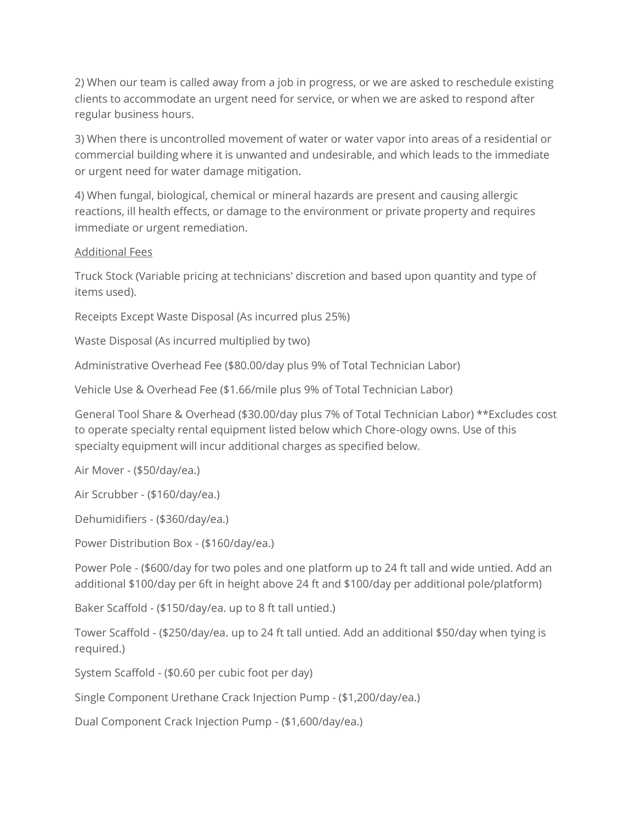2) When our team is called away from a job in progress, or we are asked to reschedule existing clients to accommodate an urgent need for service, or when we are asked to respond after regular business hours.

3) When there is uncontrolled movement of water or water vapor into areas of a residential or commercial building where it is unwanted and undesirable, and which leads to the immediate or urgent need for water damage mitigation.

4) When fungal, biological, chemical or mineral hazards are present and causing allergic reactions, ill health effects, or damage to the environment or private property and requires immediate or urgent remediation.

#### Additional Fees

Truck Stock (Variable pricing at technicians' discretion and based upon quantity and type of items used).

Receipts Except Waste Disposal (As incurred plus 25%)

Waste Disposal (As incurred multiplied by two)

Administrative Overhead Fee (\$80.00/day plus 9% of Total Technician Labor)

Vehicle Use & Overhead Fee (\$1.66/mile plus 9% of Total Technician Labor)

General Tool Share & Overhead (\$30.00/day plus 7% of Total Technician Labor) \*\*Excludes cost to operate specialty rental equipment listed below which Chore-ology owns. Use of this specialty equipment will incur additional charges as specified below.

Air Mover - (\$50/day/ea.)

Air Scrubber - (\$160/day/ea.)

Dehumidifiers - (\$360/day/ea.)

Power Distribution Box - (\$160/day/ea.)

Power Pole - (\$600/day for two poles and one platform up to 24 ft tall and wide untied. Add an additional \$100/day per 6ft in height above 24 ft and \$100/day per additional pole/platform)

Baker Scaffold - (\$150/day/ea. up to 8 ft tall untied.)

Tower Scaffold - (\$250/day/ea. up to 24 ft tall untied. Add an additional \$50/day when tying is required.)

System Scaffold - (\$0.60 per cubic foot per day)

Single Component Urethane Crack Injection Pump - (\$1,200/day/ea.)

Dual Component Crack Injection Pump - (\$1,600/day/ea.)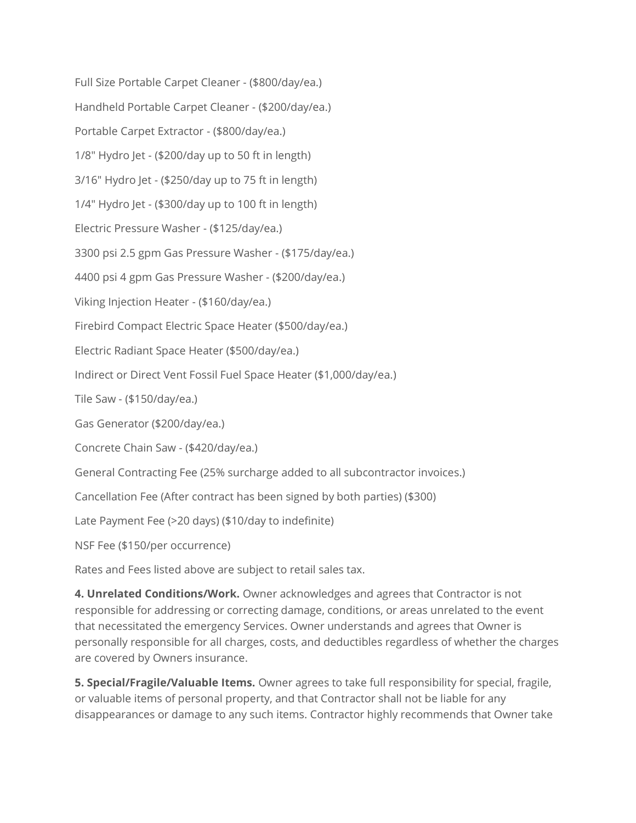Full Size Portable Carpet Cleaner - (\$800/day/ea.) Handheld Portable Carpet Cleaner - (\$200/day/ea.) Portable Carpet Extractor - (\$800/day/ea.) 1/8" Hydro Jet - (\$200/day up to 50 ft in length) 3/16" Hydro Jet - (\$250/day up to 75 ft in length) 1/4" Hydro Jet - (\$300/day up to 100 ft in length) Electric Pressure Washer - (\$125/day/ea.) 3300 psi 2.5 gpm Gas Pressure Washer - (\$175/day/ea.) 4400 psi 4 gpm Gas Pressure Washer - (\$200/day/ea.) Viking Injection Heater - (\$160/day/ea.) Firebird Compact Electric Space Heater (\$500/day/ea.) Electric Radiant Space Heater (\$500/day/ea.) Indirect or Direct Vent Fossil Fuel Space Heater (\$1,000/day/ea.) Tile Saw - (\$150/day/ea.) Gas Generator (\$200/day/ea.) Concrete Chain Saw - (\$420/day/ea.) General Contracting Fee (25% surcharge added to all subcontractor invoices.) Cancellation Fee (After contract has been signed by both parties) (\$300) Late Payment Fee (>20 days) (\$10/day to indefinite)

NSF Fee (\$150/per occurrence)

Rates and Fees listed above are subject to retail sales tax.

**4. Unrelated Conditions/Work.** Owner acknowledges and agrees that Contractor is not responsible for addressing or correcting damage, conditions, or areas unrelated to the event that necessitated the emergency Services. Owner understands and agrees that Owner is personally responsible for all charges, costs, and deductibles regardless of whether the charges are covered by Owners insurance.

**5. Special/Fragile/Valuable Items.** Owner agrees to take full responsibility for special, fragile, or valuable items of personal property, and that Contractor shall not be liable for any disappearances or damage to any such items. Contractor highly recommends that Owner take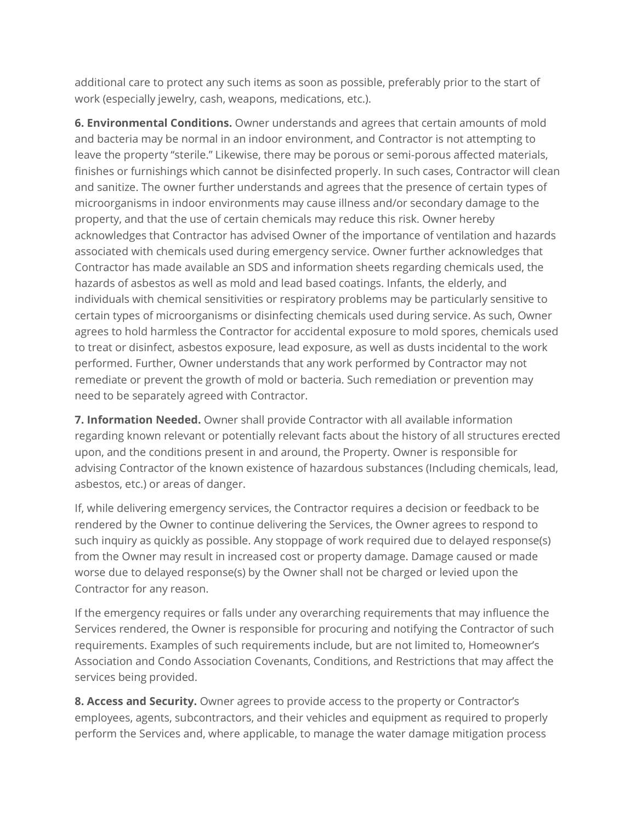additional care to protect any such items as soon as possible, preferably prior to the start of work (especially jewelry, cash, weapons, medications, etc.).

**6. Environmental Conditions.** Owner understands and agrees that certain amounts of mold and bacteria may be normal in an indoor environment, and Contractor is not attempting to leave the property "sterile." Likewise, there may be porous or semi-porous affected materials, finishes or furnishings which cannot be disinfected properly. In such cases, Contractor will clean and sanitize. The owner further understands and agrees that the presence of certain types of microorganisms in indoor environments may cause illness and/or secondary damage to the property, and that the use of certain chemicals may reduce this risk. Owner hereby acknowledges that Contractor has advised Owner of the importance of ventilation and hazards associated with chemicals used during emergency service. Owner further acknowledges that Contractor has made available an SDS and information sheets regarding chemicals used, the hazards of asbestos as well as mold and lead based coatings. Infants, the elderly, and individuals with chemical sensitivities or respiratory problems may be particularly sensitive to certain types of microorganisms or disinfecting chemicals used during service. As such, Owner agrees to hold harmless the Contractor for accidental exposure to mold spores, chemicals used to treat or disinfect, asbestos exposure, lead exposure, as well as dusts incidental to the work performed. Further, Owner understands that any work performed by Contractor may not remediate or prevent the growth of mold or bacteria. Such remediation or prevention may need to be separately agreed with Contractor.

**7. Information Needed.** Owner shall provide Contractor with all available information regarding known relevant or potentially relevant facts about the history of all structures erected upon, and the conditions present in and around, the Property. Owner is responsible for advising Contractor of the known existence of hazardous substances (Including chemicals, lead, asbestos, etc.) or areas of danger.

If, while delivering emergency services, the Contractor requires a decision or feedback to be rendered by the Owner to continue delivering the Services, the Owner agrees to respond to such inquiry as quickly as possible. Any stoppage of work required due to delayed response(s) from the Owner may result in increased cost or property damage. Damage caused or made worse due to delayed response(s) by the Owner shall not be charged or levied upon the Contractor for any reason.

If the emergency requires or falls under any overarching requirements that may influence the Services rendered, the Owner is responsible for procuring and notifying the Contractor of such requirements. Examples of such requirements include, but are not limited to, Homeowner's Association and Condo Association Covenants, Conditions, and Restrictions that may affect the services being provided.

**8. Access and Security.** Owner agrees to provide access to the property or Contractor's employees, agents, subcontractors, and their vehicles and equipment as required to properly perform the Services and, where applicable, to manage the water damage mitigation process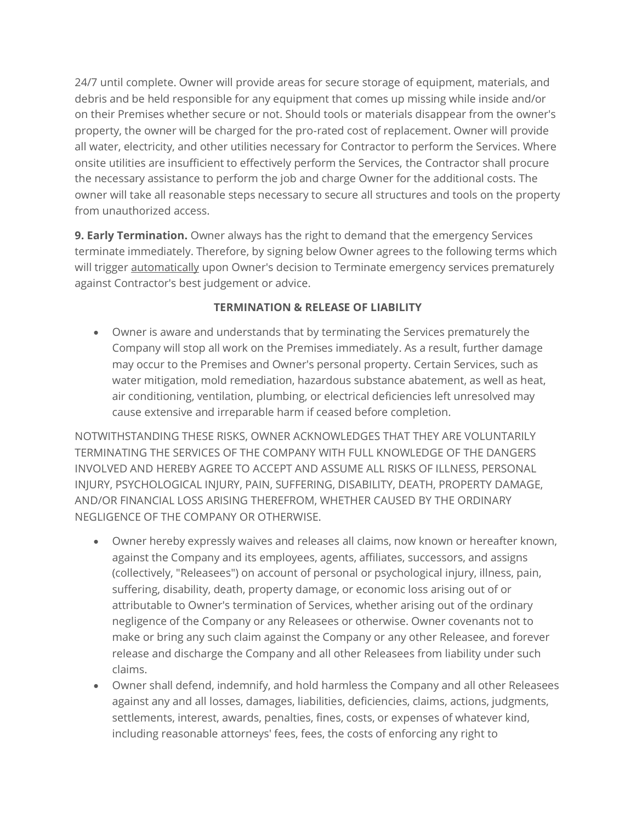24/7 until complete. Owner will provide areas for secure storage of equipment, materials, and debris and be held responsible for any equipment that comes up missing while inside and/or on their Premises whether secure or not. Should tools or materials disappear from the owner's property, the owner will be charged for the pro-rated cost of replacement. Owner will provide all water, electricity, and other utilities necessary for Contractor to perform the Services. Where onsite utilities are insufficient to effectively perform the Services, the Contractor shall procure the necessary assistance to perform the job and charge Owner for the additional costs. The owner will take all reasonable steps necessary to secure all structures and tools on the property from unauthorized access.

**9. Early Termination.** Owner always has the right to demand that the emergency Services terminate immediately. Therefore, by signing below Owner agrees to the following terms which will trigger **automatically** upon Owner's decision to Terminate emergency services prematurely against Contractor's best judgement or advice.

## **TERMINATION & RELEASE OF LIABILITY**

• Owner is aware and understands that by terminating the Services prematurely the Company will stop all work on the Premises immediately. As a result, further damage may occur to the Premises and Owner's personal property. Certain Services, such as water mitigation, mold remediation, hazardous substance abatement, as well as heat, air conditioning, ventilation, plumbing, or electrical deficiencies left unresolved may cause extensive and irreparable harm if ceased before completion.

NOTWITHSTANDING THESE RISKS, OWNER ACKNOWLEDGES THAT THEY ARE VOLUNTARILY TERMINATING THE SERVICES OF THE COMPANY WITH FULL KNOWLEDGE OF THE DANGERS INVOLVED AND HEREBY AGREE TO ACCEPT AND ASSUME ALL RISKS OF ILLNESS, PERSONAL INJURY, PSYCHOLOGICAL INJURY, PAIN, SUFFERING, DISABILITY, DEATH, PROPERTY DAMAGE, AND/OR FINANCIAL LOSS ARISING THEREFROM, WHETHER CAUSED BY THE ORDINARY NEGLIGENCE OF THE COMPANY OR OTHERWISE.

- Owner hereby expressly waives and releases all claims, now known or hereafter known, against the Company and its employees, agents, affiliates, successors, and assigns (collectively, "Releasees") on account of personal or psychological injury, illness, pain, suffering, disability, death, property damage, or economic loss arising out of or attributable to Owner's termination of Services, whether arising out of the ordinary negligence of the Company or any Releasees or otherwise. Owner covenants not to make or bring any such claim against the Company or any other Releasee, and forever release and discharge the Company and all other Releasees from liability under such claims.
- Owner shall defend, indemnify, and hold harmless the Company and all other Releasees against any and all losses, damages, liabilities, deficiencies, claims, actions, judgments, settlements, interest, awards, penalties, fines, costs, or expenses of whatever kind, including reasonable attorneys' fees, fees, the costs of enforcing any right to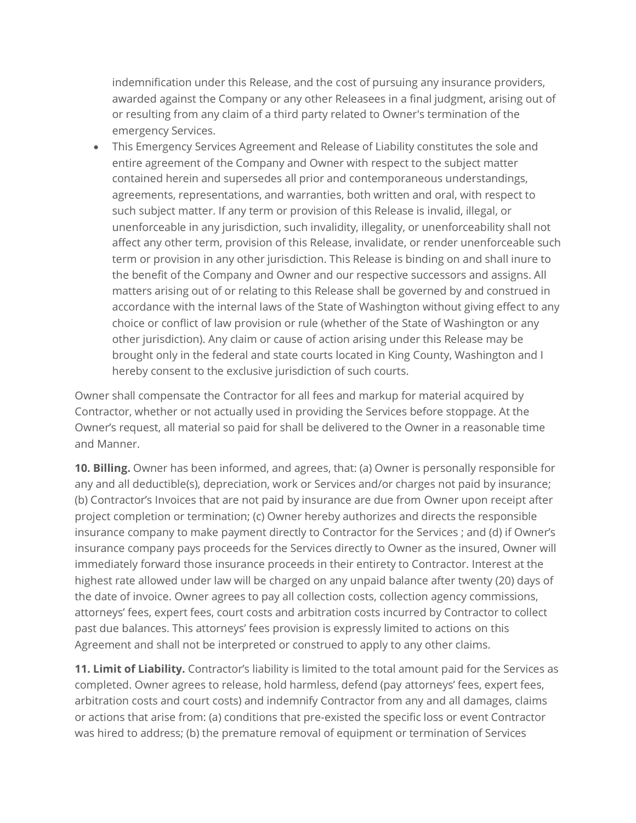indemnification under this Release, and the cost of pursuing any insurance providers, awarded against the Company or any other Releasees in a final judgment, arising out of or resulting from any claim of a third party related to Owner's termination of the emergency Services.

• This Emergency Services Agreement and Release of Liability constitutes the sole and entire agreement of the Company and Owner with respect to the subject matter contained herein and supersedes all prior and contemporaneous understandings, agreements, representations, and warranties, both written and oral, with respect to such subject matter. If any term or provision of this Release is invalid, illegal, or unenforceable in any jurisdiction, such invalidity, illegality, or unenforceability shall not affect any other term, provision of this Release, invalidate, or render unenforceable such term or provision in any other jurisdiction. This Release is binding on and shall inure to the benefit of the Company and Owner and our respective successors and assigns. All matters arising out of or relating to this Release shall be governed by and construed in accordance with the internal laws of the State of Washington without giving effect to any choice or conflict of law provision or rule (whether of the State of Washington or any other jurisdiction). Any claim or cause of action arising under this Release may be brought only in the federal and state courts located in King County, Washington and I hereby consent to the exclusive jurisdiction of such courts.

Owner shall compensate the Contractor for all fees and markup for material acquired by Contractor, whether or not actually used in providing the Services before stoppage. At the Owner's request, all material so paid for shall be delivered to the Owner in a reasonable time and Manner.

**10. Billing.** Owner has been informed, and agrees, that: (a) Owner is personally responsible for any and all deductible(s), depreciation, work or Services and/or charges not paid by insurance; (b) Contractor's Invoices that are not paid by insurance are due from Owner upon receipt after project completion or termination; (c) Owner hereby authorizes and directs the responsible insurance company to make payment directly to Contractor for the Services ; and (d) if Owner's insurance company pays proceeds for the Services directly to Owner as the insured, Owner will immediately forward those insurance proceeds in their entirety to Contractor. Interest at the highest rate allowed under law will be charged on any unpaid balance after twenty (20) days of the date of invoice. Owner agrees to pay all collection costs, collection agency commissions, attorneys' fees, expert fees, court costs and arbitration costs incurred by Contractor to collect past due balances. This attorneys' fees provision is expressly limited to actions on this Agreement and shall not be interpreted or construed to apply to any other claims.

**11. Limit of Liability.** Contractor's liability is limited to the total amount paid for the Services as completed. Owner agrees to release, hold harmless, defend (pay attorneys' fees, expert fees, arbitration costs and court costs) and indemnify Contractor from any and all damages, claims or actions that arise from: (a) conditions that pre-existed the specific loss or event Contractor was hired to address; (b) the premature removal of equipment or termination of Services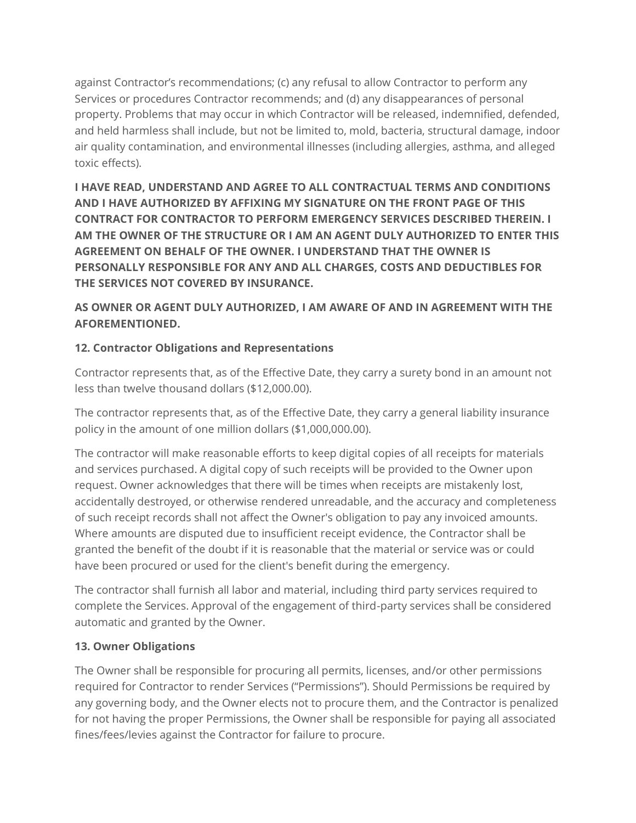against Contractor's recommendations; (c) any refusal to allow Contractor to perform any Services or procedures Contractor recommends; and (d) any disappearances of personal property. Problems that may occur in which Contractor will be released, indemnified, defended, and held harmless shall include, but not be limited to, mold, bacteria, structural damage, indoor air quality contamination, and environmental illnesses (including allergies, asthma, and alleged toxic effects).

**I HAVE READ, UNDERSTAND AND AGREE TO ALL CONTRACTUAL TERMS AND CONDITIONS AND I HAVE AUTHORIZED BY AFFIXING MY SIGNATURE ON THE FRONT PAGE OF THIS CONTRACT FOR CONTRACTOR TO PERFORM EMERGENCY SERVICES DESCRIBED THEREIN. I AM THE OWNER OF THE STRUCTURE OR I AM AN AGENT DULY AUTHORIZED TO ENTER THIS AGREEMENT ON BEHALF OF THE OWNER. I UNDERSTAND THAT THE OWNER IS PERSONALLY RESPONSIBLE FOR ANY AND ALL CHARGES, COSTS AND DEDUCTIBLES FOR THE SERVICES NOT COVERED BY INSURANCE.**

# **AS OWNER OR AGENT DULY AUTHORIZED, I AM AWARE OF AND IN AGREEMENT WITH THE AFOREMENTIONED.**

# **12. Contractor Obligations and Representations**

Contractor represents that, as of the Effective Date, they carry a surety bond in an amount not less than twelve thousand dollars (\$12,000.00).

The contractor represents that, as of the Effective Date, they carry a general liability insurance policy in the amount of one million dollars (\$1,000,000.00).

The contractor will make reasonable efforts to keep digital copies of all receipts for materials and services purchased. A digital copy of such receipts will be provided to the Owner upon request. Owner acknowledges that there will be times when receipts are mistakenly lost, accidentally destroyed, or otherwise rendered unreadable, and the accuracy and completeness of such receipt records shall not affect the Owner's obligation to pay any invoiced amounts. Where amounts are disputed due to insufficient receipt evidence, the Contractor shall be granted the benefit of the doubt if it is reasonable that the material or service was or could have been procured or used for the client's benefit during the emergency.

The contractor shall furnish all labor and material, including third party services required to complete the Services. Approval of the engagement of third-party services shall be considered automatic and granted by the Owner.

# **13. Owner Obligations**

The Owner shall be responsible for procuring all permits, licenses, and/or other permissions required for Contractor to render Services ("Permissions"). Should Permissions be required by any governing body, and the Owner elects not to procure them, and the Contractor is penalized for not having the proper Permissions, the Owner shall be responsible for paying all associated fines/fees/levies against the Contractor for failure to procure.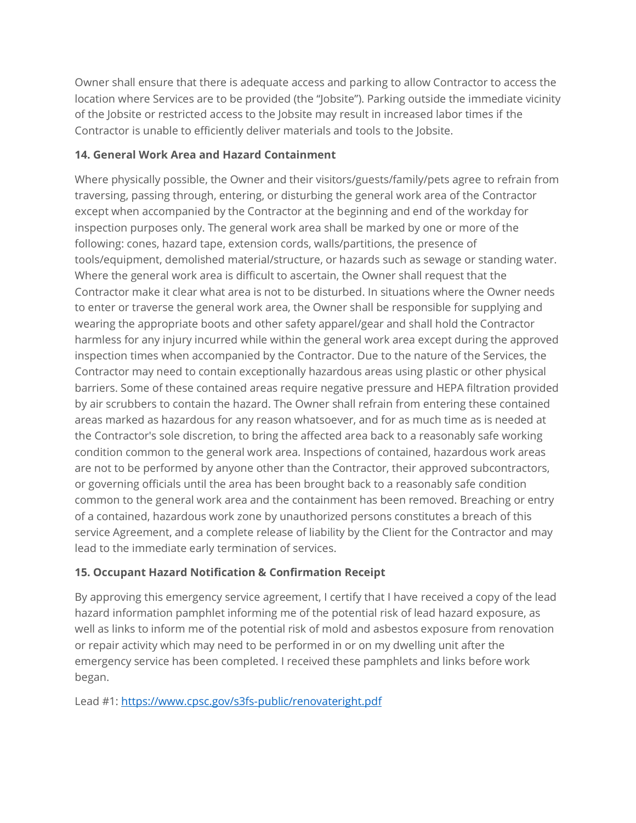Owner shall ensure that there is adequate access and parking to allow Contractor to access the location where Services are to be provided (the "Jobsite"). Parking outside the immediate vicinity of the Jobsite or restricted access to the Jobsite may result in increased labor times if the Contractor is unable to efficiently deliver materials and tools to the Jobsite.

# **14. General Work Area and Hazard Containment**

Where physically possible, the Owner and their visitors/guests/family/pets agree to refrain from traversing, passing through, entering, or disturbing the general work area of the Contractor except when accompanied by the Contractor at the beginning and end of the workday for inspection purposes only. The general work area shall be marked by one or more of the following: cones, hazard tape, extension cords, walls/partitions, the presence of tools/equipment, demolished material/structure, or hazards such as sewage or standing water. Where the general work area is difficult to ascertain, the Owner shall request that the Contractor make it clear what area is not to be disturbed. In situations where the Owner needs to enter or traverse the general work area, the Owner shall be responsible for supplying and wearing the appropriate boots and other safety apparel/gear and shall hold the Contractor harmless for any injury incurred while within the general work area except during the approved inspection times when accompanied by the Contractor. Due to the nature of the Services, the Contractor may need to contain exceptionally hazardous areas using plastic or other physical barriers. Some of these contained areas require negative pressure and HEPA filtration provided by air scrubbers to contain the hazard. The Owner shall refrain from entering these contained areas marked as hazardous for any reason whatsoever, and for as much time as is needed at the Contractor's sole discretion, to bring the affected area back to a reasonably safe working condition common to the general work area. Inspections of contained, hazardous work areas are not to be performed by anyone other than the Contractor, their approved subcontractors, or governing officials until the area has been brought back to a reasonably safe condition common to the general work area and the containment has been removed. Breaching or entry of a contained, hazardous work zone by unauthorized persons constitutes a breach of this service Agreement, and a complete release of liability by the Client for the Contractor and may lead to the immediate early termination of services.

# **15. Occupant Hazard Notification & Confirmation Receipt**

By approving this emergency service agreement, I certify that I have received a copy of the lead hazard information pamphlet informing me of the potential risk of lead hazard exposure, as well as links to inform me of the potential risk of mold and asbestos exposure from renovation or repair activity which may need to be performed in or on my dwelling unit after the emergency service has been completed. I received these pamphlets and links before work began.

Lead #1[: https://www.cpsc.gov/s3fs-public/renovateright.pdf](https://www.cpsc.gov/s3fs-public/renovateright.pdf)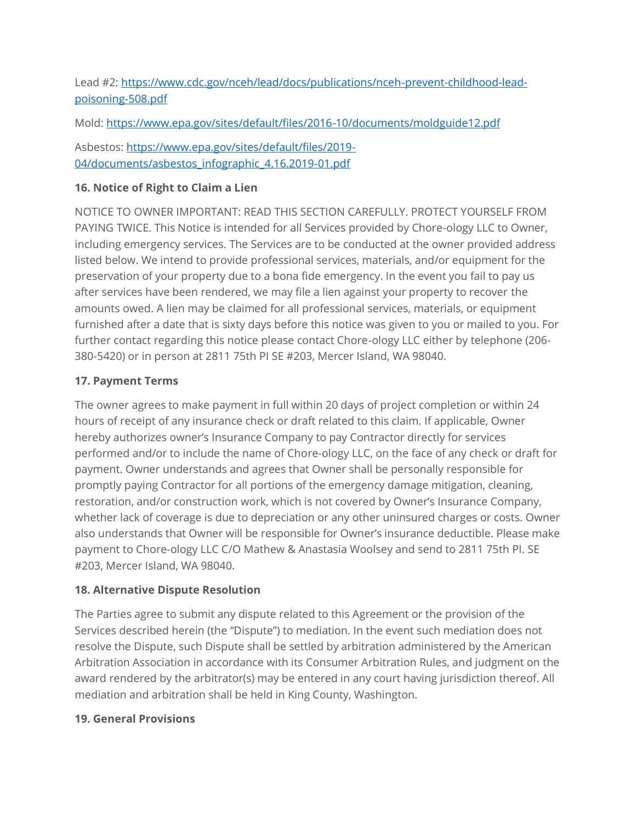Lead #2[: https://www.cdc.gov/nceh/lead/docs/publications/nceh-prevent-childhood-lead](https://www.cdc.gov/nceh/lead/docs/publications/nceh-prevent-childhood-lead-poisoning-508.pdf)[poisoning-508.pdf](https://www.cdc.gov/nceh/lead/docs/publications/nceh-prevent-childhood-lead-poisoning-508.pdf)

Mold:<https://www.epa.gov/sites/default/files/2016-10/documents/moldguide12.pdf>

Asbestos[: https://www.epa.gov/sites/default/files/2019-](https://www.epa.gov/sites/default/files/2019-04/documents/asbestos_infographic_4.16.2019-01.pdf) [04/documents/asbestos\\_infographic\\_4.16.2019-01.pdf](https://www.epa.gov/sites/default/files/2019-04/documents/asbestos_infographic_4.16.2019-01.pdf)

## **16. Notice of Right to Claim a Lien**

NOTICE TO OWNER IMPORTANT: READ THIS SECTION CAREFULLY. PROTECT YOURSELF FROM PAYING TWICE. This Notice is intended for all Services provided by Chore-ology LLC to Owner, including emergency services. The Services are to be conducted at the owner provided address listed below. We intend to provide professional services, materials, and/or equipment for the preservation of your property due to a bona fide emergency. In the event you fail to pay us after services have been rendered, we may file a lien against your property to recover the amounts owed. A lien may be claimed for all professional services, materials, or equipment furnished after a date that is sixty days before this notice was given to you or mailed to you. For further contact regarding this notice please contact Chore-ology LLC either by telephone (206- 380-5420) or in person at 2811 75th PI SE #203, Mercer Island, WA 98040.

## **17. Payment Terms**

The owner agrees to make payment in full within 20 days of project completion or within 24 hours of receipt of any insurance check or draft related to this claim. If applicable, Owner hereby authorizes owner's Insurance Company to pay Contractor directly for services performed and/or to include the name of Chore-ology LLC, on the face of any check or draft for payment. Owner understands and agrees that Owner shall be personally responsible for promptly paying Contractor for all portions of the emergency damage mitigation, cleaning, restoration, and/or construction work, which is not covered by Owner's Insurance Company, whether lack of coverage is due to depreciation or any other uninsured charges or costs. Owner also understands that Owner will be responsible for Owner's insurance deductible. Please make payment to Chore-ology LLC C/O Mathew & Anastasia Woolsey and send to 2811 75th PI. SE #203, Mercer Island, WA 98040.

#### **18. Alternative Dispute Resolution**

The Parties agree to submit any dispute related to this Agreement or the provision of the Services described herein (the "Dispute") to mediation. In the event such mediation does not resolve the Dispute, such Dispute shall be settled by arbitration administered by the American Arbitration Association in accordance with its Consumer Arbitration Rules, and judgment on the award rendered by the arbitrator(s) may be entered in any court having jurisdiction thereof. All mediation and arbitration shall be held in King County, Washington.

#### **19. General Provisions**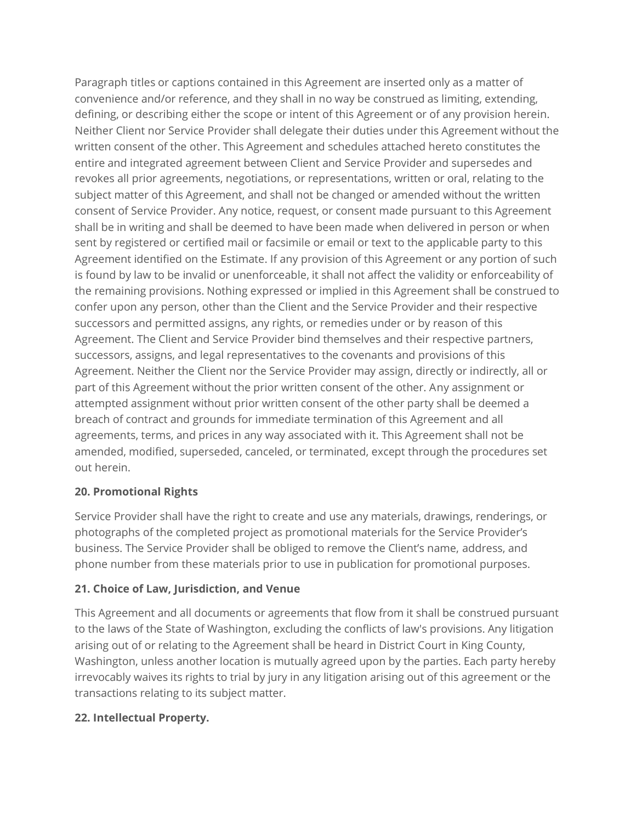Paragraph titles or captions contained in this Agreement are inserted only as a matter of convenience and/or reference, and they shall in no way be construed as limiting, extending, defining, or describing either the scope or intent of this Agreement or of any provision herein. Neither Client nor Service Provider shall delegate their duties under this Agreement without the written consent of the other. This Agreement and schedules attached hereto constitutes the entire and integrated agreement between Client and Service Provider and supersedes and revokes all prior agreements, negotiations, or representations, written or oral, relating to the subject matter of this Agreement, and shall not be changed or amended without the written consent of Service Provider. Any notice, request, or consent made pursuant to this Agreement shall be in writing and shall be deemed to have been made when delivered in person or when sent by registered or certified mail or facsimile or email or text to the applicable party to this Agreement identified on the Estimate. If any provision of this Agreement or any portion of such is found by law to be invalid or unenforceable, it shall not affect the validity or enforceability of the remaining provisions. Nothing expressed or implied in this Agreement shall be construed to confer upon any person, other than the Client and the Service Provider and their respective successors and permitted assigns, any rights, or remedies under or by reason of this Agreement. The Client and Service Provider bind themselves and their respective partners, successors, assigns, and legal representatives to the covenants and provisions of this Agreement. Neither the Client nor the Service Provider may assign, directly or indirectly, all or part of this Agreement without the prior written consent of the other. Any assignment or attempted assignment without prior written consent of the other party shall be deemed a breach of contract and grounds for immediate termination of this Agreement and all agreements, terms, and prices in any way associated with it. This Agreement shall not be amended, modified, superseded, canceled, or terminated, except through the procedures set out herein.

#### **20. Promotional Rights**

Service Provider shall have the right to create and use any materials, drawings, renderings, or photographs of the completed project as promotional materials for the Service Provider's business. The Service Provider shall be obliged to remove the Client's name, address, and phone number from these materials prior to use in publication for promotional purposes.

#### **21. Choice of Law, Jurisdiction, and Venue**

This Agreement and all documents or agreements that flow from it shall be construed pursuant to the laws of the State of Washington, excluding the conflicts of law's provisions. Any litigation arising out of or relating to the Agreement shall be heard in District Court in King County, Washington, unless another location is mutually agreed upon by the parties. Each party hereby irrevocably waives its rights to trial by jury in any litigation arising out of this agreement or the transactions relating to its subject matter.

#### **22. Intellectual Property.**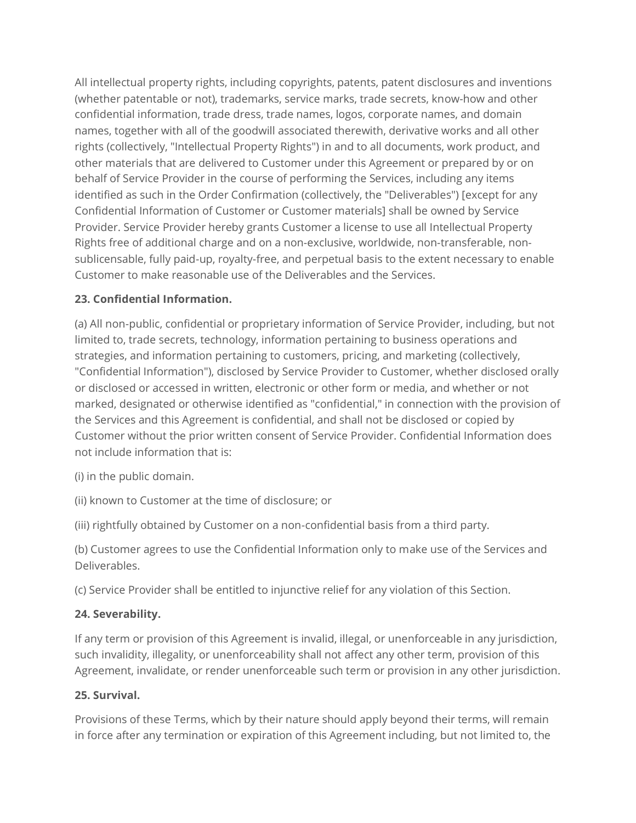All intellectual property rights, including copyrights, patents, patent disclosures and inventions (whether patentable or not), trademarks, service marks, trade secrets, know-how and other confidential information, trade dress, trade names, logos, corporate names, and domain names, together with all of the goodwill associated therewith, derivative works and all other rights (collectively, "Intellectual Property Rights") in and to all documents, work product, and other materials that are delivered to Customer under this Agreement or prepared by or on behalf of Service Provider in the course of performing the Services, including any items identified as such in the Order Confirmation (collectively, the "Deliverables") [except for any Confidential Information of Customer or Customer materials] shall be owned by Service Provider. Service Provider hereby grants Customer a license to use all Intellectual Property Rights free of additional charge and on a non-exclusive, worldwide, non-transferable, nonsublicensable, fully paid-up, royalty-free, and perpetual basis to the extent necessary to enable Customer to make reasonable use of the Deliverables and the Services.

## **23. Confidential Information.**

(a) All non-public, confidential or proprietary information of Service Provider, including, but not limited to, trade secrets, technology, information pertaining to business operations and strategies, and information pertaining to customers, pricing, and marketing (collectively, "Confidential Information"), disclosed by Service Provider to Customer, whether disclosed orally or disclosed or accessed in written, electronic or other form or media, and whether or not marked, designated or otherwise identified as "confidential," in connection with the provision of the Services and this Agreement is confidential, and shall not be disclosed or copied by Customer without the prior written consent of Service Provider. Confidential Information does not include information that is:

(i) in the public domain.

(ii) known to Customer at the time of disclosure; or

(iii) rightfully obtained by Customer on a non-confidential basis from a third party.

(b) Customer agrees to use the Confidential Information only to make use of the Services and Deliverables.

(c) Service Provider shall be entitled to injunctive relief for any violation of this Section.

# **24. Severability.**

If any term or provision of this Agreement is invalid, illegal, or unenforceable in any jurisdiction, such invalidity, illegality, or unenforceability shall not affect any other term, provision of this Agreement, invalidate, or render unenforceable such term or provision in any other jurisdiction.

# **25. Survival.**

Provisions of these Terms, which by their nature should apply beyond their terms, will remain in force after any termination or expiration of this Agreement including, but not limited to, the